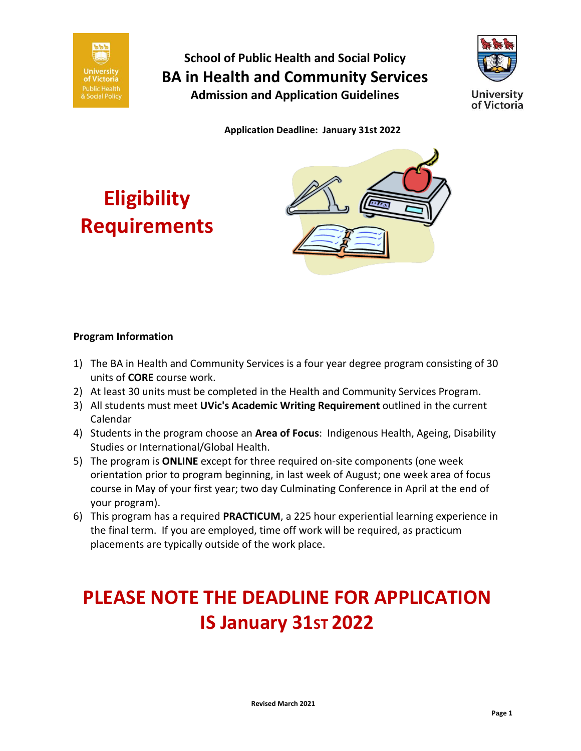



**Application Deadline: January 31st 2022**





#### **Program Information**

- 1) The BA in Health and Community Services is a four year degree program consisting of 30 units of **CORE** course work.
- 2) At least 30 units must be completed in the Health and Community Services Program.
- 3) All students must meet **UVic's Academic Writing Requirement** outlined in the current Calendar
- 4) [Students in the program choose an](https://web.uvic.ca/calendar2017-09/undergrad/info/regulations/index.html#998378) **Area of Focus**: Indigenous Health, Ageing, Disability Studies or International/Global Health.
- 5) The program is **ONLINE** except for three required on-site components (one week orientation prior to program beginning, in last week of August; one week area of focus course in May of your first year; two day Culminating Conference in April at the end of your program).
- 6) This program has a required **PRACTICUM**, a 225 hour experiential learning experience in the final term. If you are employed, time off work will be required, as practicum placements are typically outside of the work place.

# **PLEASE NOTE THE DEADLINE FOR APPLICATION 15 January 31st 2022**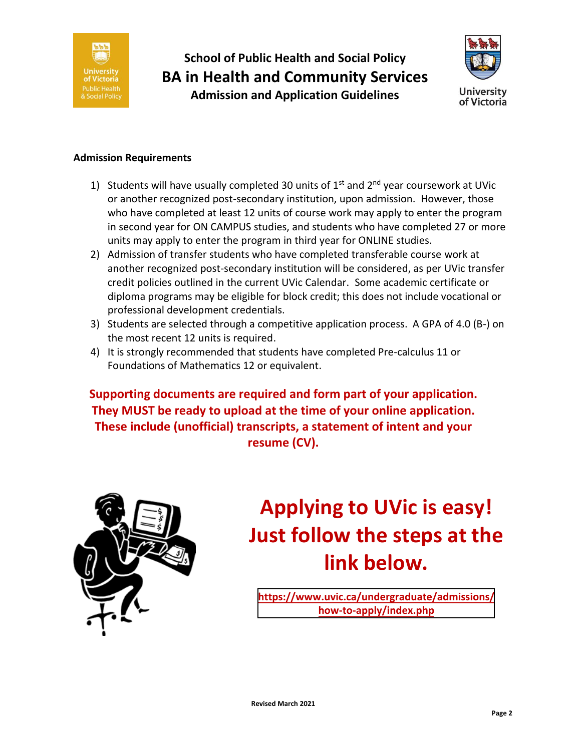



#### **Admission Requirements**

- 1) Students will have usually completed 30 units of  $1<sup>st</sup>$  and  $2<sup>nd</sup>$  year coursework at UVic or another recognized post-secondary institution, upon admission. However, those who have completed at least 12 units of course work may apply to enter the program in second year for ON CAMPUS studies, and students who have completed 27 or more units may apply to enter the program in third year for ONLINE studies.
- 2) Admission of transfer students who have completed transferable course work at another recognized post-secondary institution will be considered, as per UVic transfer credit policies outlined in the current UVic Calendar. Some academic certificate or diploma programs may be eligible for block credit; this does not include vocational or professional development credentials.
- 3) Students are selected through a competitive application process. A GPA of 4.0 (B-) on the most recent 12 units is required.
- 4) It is strongly recommended that students have completed Pre-calculus 11 or Foundations of Mathematics 12 or equivalent.

**Supporting documents are required and form part of your application. They MUST be ready to upload at the time of your online application. These include (unofficial) transcripts, a statement of intent and your resume (CV).**



# **Applying to UVic is easy! Just follow the steps at the link below.**

**[https://www.uvic.ca/undergraduate/admissions](https://www.uvic.ca/undergraduate/admissions/how-to-apply/index.php)[/](http://www.uvic.ca/future-students/undergraduate/apply/index.php/) [how-to-apply/index.php](http://www.uvic.ca/future-students/undergraduate/apply/index.php/)**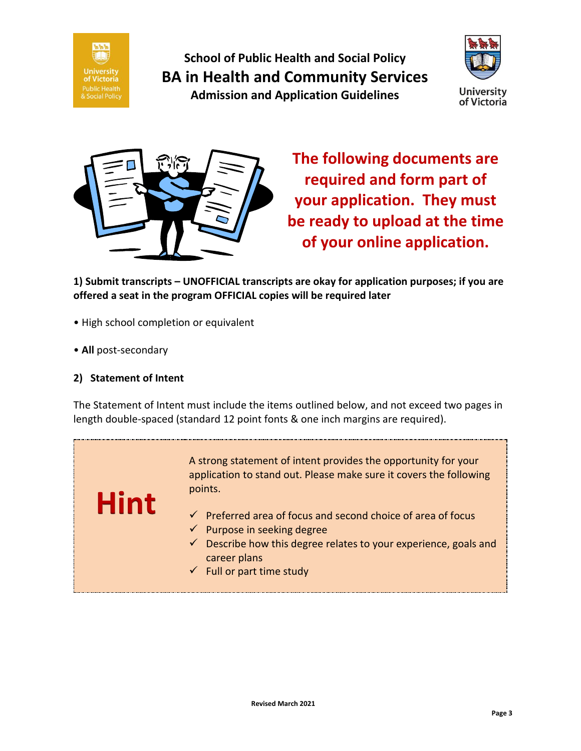



**The following documents are required and form part of your application. They must be ready to upload at the time of your online application.**

**1) Submit transcripts – UNOFFICIAL transcripts are okay for application purposes; if you are offered a seat in the program OFFICIAL copies will be required later**

- High school completion or equivalent
- **All** post-secondary

#### **2) Statement of Intent**

**Hint**

The Statement of Intent must include the items outlined below, and not exceed two pages in length double-spaced (standard 12 point fonts & one inch margins are required).

> A strong statement of intent provides the opportunity for your application to stand out. Please make sure it covers the following points.

- $\checkmark$  Preferred area of focus and second choice of area of focus
- $\checkmark$  Purpose in seeking degree
- $\checkmark$  Describe how this degree relates to your experience, goals and career plans
- $\checkmark$  Full or part time study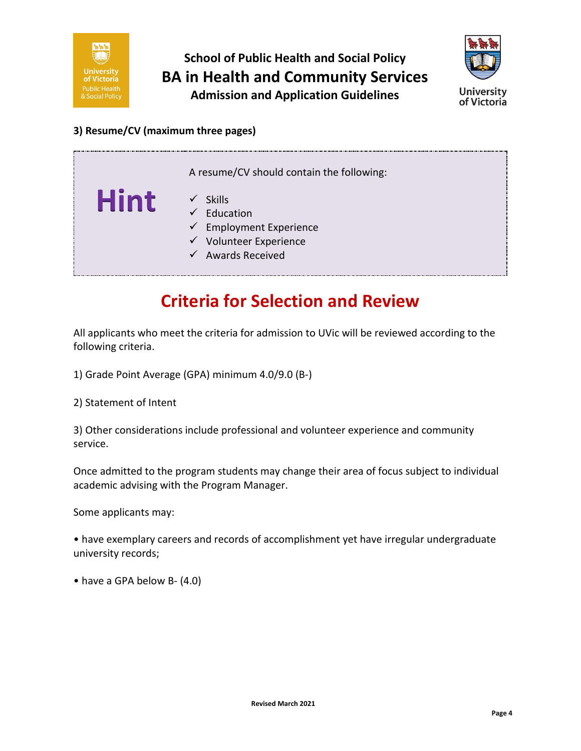



#### **3) Resume/CV (maximum three pages)**

|             | A resume/CV should contain the following:                                                                                                             |
|-------------|-------------------------------------------------------------------------------------------------------------------------------------------------------|
| <b>Hint</b> | <b>Skills</b><br>$\checkmark$<br>Education<br>$\checkmark$ Employment Experience<br>$\checkmark$ Volunteer Experience<br>$\checkmark$ Awards Received |

### **Criteria for Selection and Review**

All applicants who meet the criteria for admission to UVic will be reviewed according to the following criteria.

1) Grade Point Average (GPA) minimum 4.0/9.0 (B-)

2) Statement of Intent

3) Other considerations include professional and volunteer experience and community service.

Once admitted to the program students may change their area of focus subject to individual academic advising with the Program Manager.

Some applicants may:

• have exemplary careers and records of accomplishment yet have irregular undergraduate university records;

• have a GPA below B- (4.0)